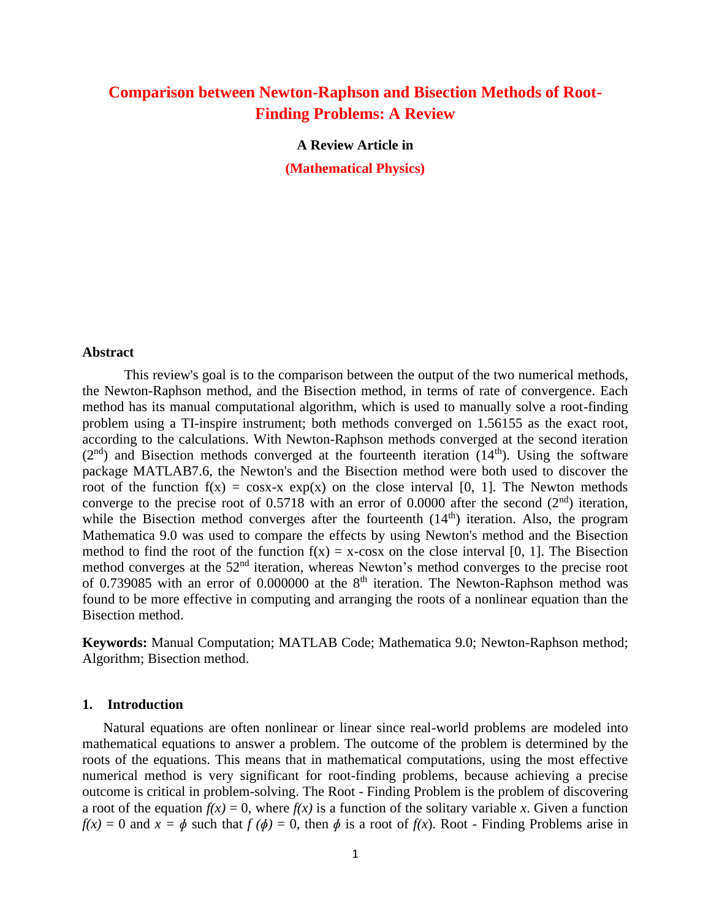# **Comparison between Newton-Raphson and Bisection Methods of Root-Finding Problems: A Review**

**A Review Article in (Mathematical Physics)**

#### **Abstract**

This review's goal is to the comparison between the output of the two numerical methods, the Newton-Raphson method, and the Bisection method, in terms of rate of convergence. Each method has its manual computational algorithm, which is used to manually solve a root-finding problem using a TI-inspire instrument; both methods converged on 1.56155 as the exact root, according to the calculations. With Newton-Raphson methods converged at the second iteration  $(2<sup>nd</sup>)$  and Bisection methods converged at the fourteenth iteration  $(14<sup>th</sup>)$ . Using the software package MATLAB7.6, the Newton's and the Bisection method were both used to discover the root of the function  $f(x) = \cos x - x \exp(x)$  on the close interval [0, 1]. The Newton methods converge to the precise root of 0.5718 with an error of 0.0000 after the second  $(2<sup>nd</sup>)$  iteration, while the Bisection method converges after the fourteenth  $(14<sup>th</sup>)$  iteration. Also, the program Mathematica 9.0 was used to compare the effects by using Newton's method and the Bisection method to find the root of the function  $f(x) = x$ -cosx on the close interval [0, 1]. The Bisection method converges at the 52<sup>nd</sup> iteration, whereas Newton's method converges to the precise root of 0.739085 with an error of 0.000000 at the  $8<sup>th</sup>$  iteration. The Newton-Raphson method was found to be more effective in computing and arranging the roots of a nonlinear equation than the Bisection method.

**Keywords:** Manual Computation; MATLAB Code; Mathematica 9.0; Newton-Raphson method; Algorithm; Bisection method.

#### **1. Introduction**

Natural equations are often nonlinear or linear since real-world problems are modeled into mathematical equations to answer a problem. The outcome of the problem is determined by the roots of the equations. This means that in mathematical computations, using the most effective numerical method is very significant for root-finding problems, because achieving a precise outcome is critical in problem-solving. The Root - Finding Problem is the problem of discovering a root of the equation  $f(x) = 0$ , where  $f(x)$  is a function of the solitary variable x. Given a function  $f(x) = 0$  and  $x = \phi$  such that  $f(\phi) = 0$ , then  $\phi$  is a root of  $f(x)$ . Root - Finding Problems arise in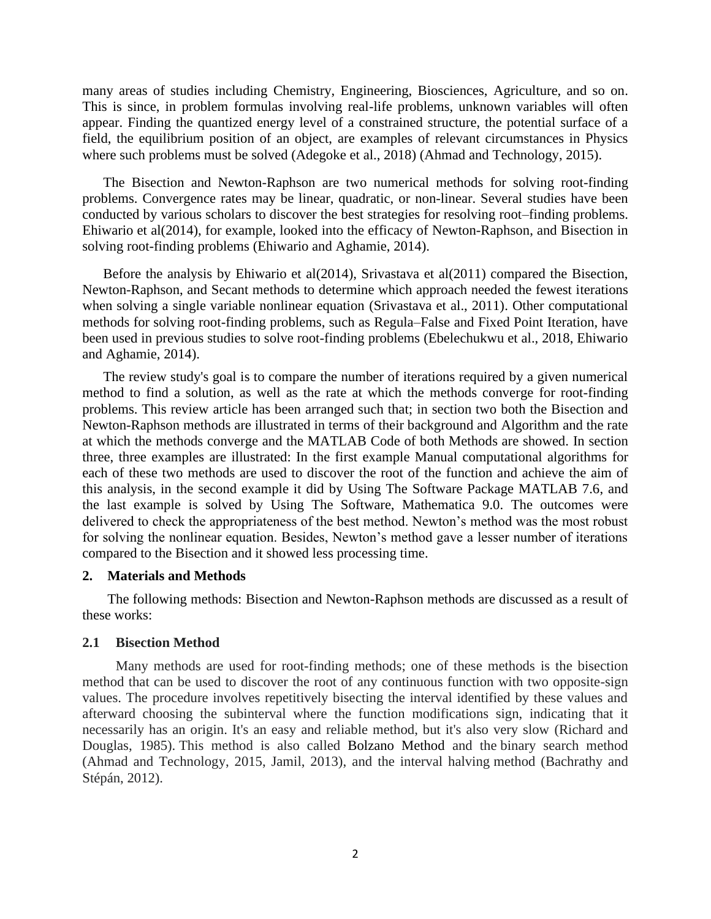many areas of studies including Chemistry, Engineering, Biosciences, Agriculture, and so on. This is since, in problem formulas involving real-life problems, unknown variables will often appear. Finding the quantized energy level of a constrained structure, the potential surface of a field, the equilibrium position of an object, are examples of relevant circumstances in Physics where such problems must be solved (Adegoke et al., 2018) (Ahmad and Technology, 2015).

The Bisection and Newton-Raphson are two numerical methods for solving root-finding problems. Convergence rates may be linear, quadratic, or non-linear. Several studies have been conducted by various scholars to discover the best strategies for resolving root–finding problems. Ehiwario et al(2014), for example, looked into the efficacy of Newton-Raphson, and Bisection in solving root-finding problems (Ehiwario and Aghamie, 2014).

Before the analysis by Ehiwario et al(2014), Srivastava et al(2011) compared the Bisection, Newton-Raphson, and Secant methods to determine which approach needed the fewest iterations when solving a single variable nonlinear equation (Srivastava et al., 2011). Other computational methods for solving root-finding problems, such as Regula–False and Fixed Point Iteration, have been used in previous studies to solve root-finding problems (Ebelechukwu et al., 2018, Ehiwario and Aghamie, 2014).

The review study's goal is to compare the number of iterations required by a given numerical method to find a solution, as well as the rate at which the methods converge for root-finding problems. This review article has been arranged such that; in section two both the Bisection and Newton-Raphson methods are illustrated in terms of their background and Algorithm and the rate at which the methods converge and the MATLAB Code of both Methods are showed. In section three, three examples are illustrated: In the first example Manual computational algorithms for each of these two methods are used to discover the root of the function and achieve the aim of this analysis, in the second example it did by Using The Software Package MATLAB 7.6, and the last example is solved by Using The Software, Mathematica 9.0. The outcomes were delivered to check the appropriateness of the best method. Newton's method was the most robust for solving the nonlinear equation. Besides, Newton's method gave a lesser number of iterations compared to the Bisection and it showed less processing time.

## **2. Materials and Methods**

The following methods: Bisection and Newton-Raphson methods are discussed as a result of these works:

## **2.1 Bisection Method**

Many methods are used for root-finding methods; one of these methods is the bisection method that can be used to discover the root of any continuous function with two opposite-sign values. The procedure involves repetitively bisecting the interval identified by these values and afterward choosing the subinterval where the function modifications sign, indicating that it necessarily has an origin. It's an easy and reliable method, but it's also very slow (Richard and Douglas, 1985). This method is also called Bolzano Method and the binary search method (Ahmad and Technology, 2015, Jamil, 2013), and the interval halving method (Bachrathy and Stépán, 2012).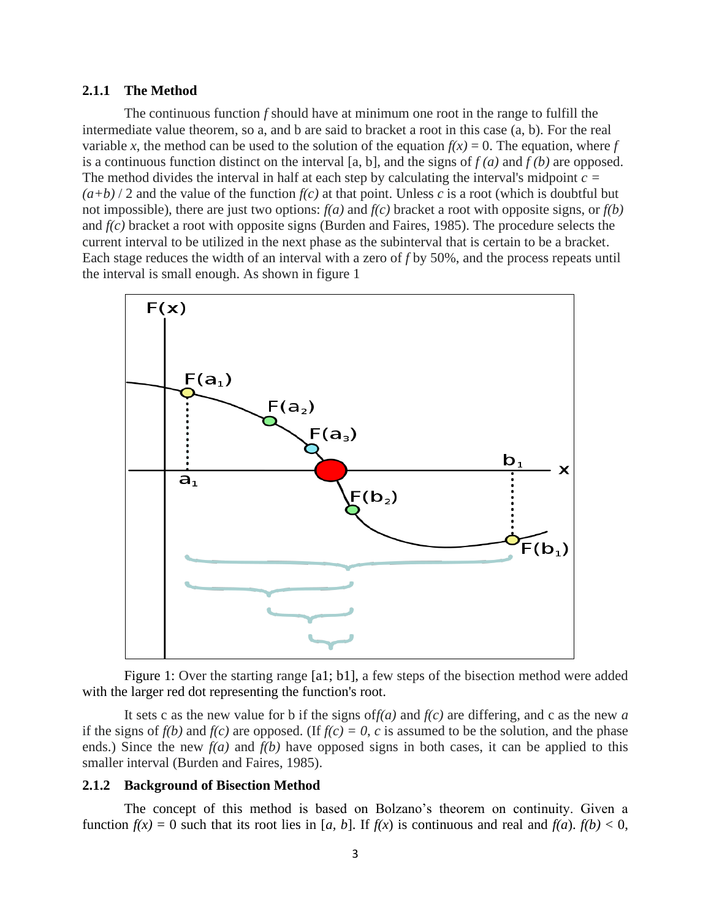#### **2.1.1 The Method**

The continuous function *f* should have at minimum one root in the range to fulfill the intermediate value theorem, so a, and b are said to bracket a root in this case (a, b). For the real variable *x*, the method can be used to the solution of the equation  $f(x) = 0$ . The equation, where *f* is a continuous function distinct on the interval [a, b], and the signs of *f (a)* and *f (b)* are opposed. The method divides the interval in half at each step by calculating the interval's midpoint *c =*   $(a+b)/2$  and the value of the function  $f(c)$  at that point. Unless *c* is a root (which is doubtful but not impossible), there are just two options: *f(a)* and *f(c)* bracket a root with opposite signs, or *f(b)* and *f(c)* bracket a root with opposite signs (Burden and Faires, 1985). The procedure selects the current interval to be utilized in the next phase as the subinterval that is certain to be a bracket. Each stage reduces the width of an interval with a zero of *f* by 50%, and the process repeats until the interval is small enough. As shown in figure 1



Figure 1: Over the starting range [a1; b1], a few steps of the bisection method were added with the larger red dot representing the function's root.

It sets c as the new value for b if the signs of*f(a)* and *f(c)* are differing, and c as the new *a* if the signs of  $f(b)$  and  $f(c)$  are opposed. (If  $f(c) = 0$ , *c* is assumed to be the solution, and the phase ends.) Since the new  $f(a)$  and  $f(b)$  have opposed signs in both cases, it can be applied to this smaller interval (Burden and Faires, 1985).

### **2.1.2 Background of Bisection Method**

The concept of this method is based on Bolzano's theorem on continuity. Given a function  $f(x) = 0$  such that its root lies in [*a*, *b*]. If  $f(x)$  is continuous and real and  $f(a)$ .  $f(b) < 0$ ,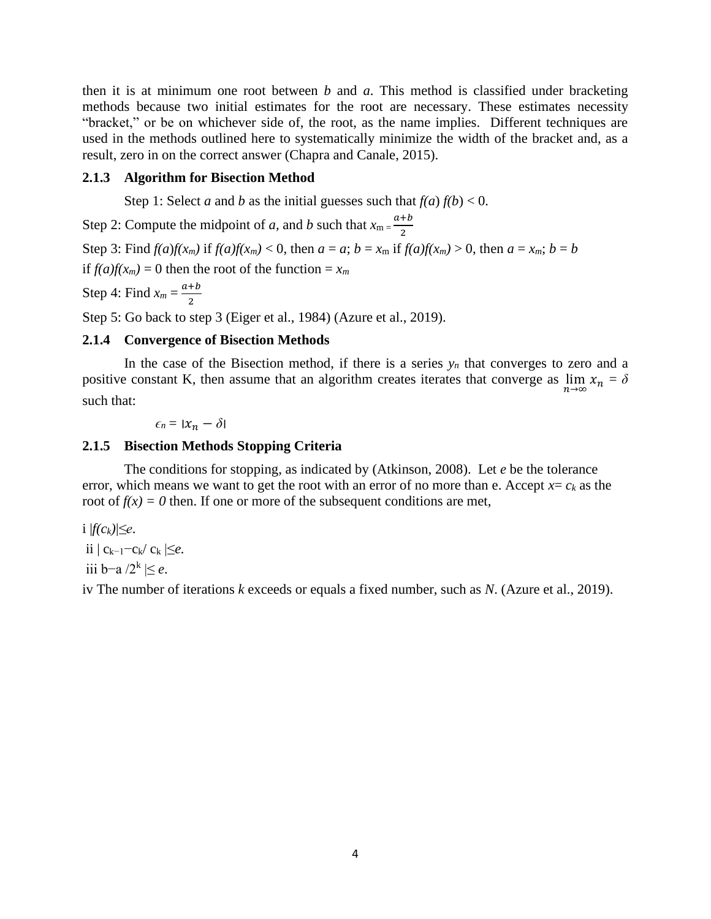then it is at minimum one root between *b* and *a*. This method is classified under bracketing methods because two initial estimates for the root are necessary. These estimates necessity "bracket," or be on whichever side of, the root, as the name implies. Different techniques are used in the methods outlined here to systematically minimize the width of the bracket and, as a result, zero in on the correct answer (Chapra and Canale, 2015).

# **2.1.3 Algorithm for Bisection Method**

Step 1: Select *a* and *b* as the initial guesses such that  $f(a) f(b) < 0$ .

Step 2: Compute the midpoint of *a*, and *b* such that  $x_m = \frac{a+b}{2}$ 2 Step 3: Find  $f(a)f(x_m)$  if  $f(a)f(x_m) < 0$ , then  $a = a$ ;  $b = x_m$  if  $f(a)f(x_m) > 0$ , then  $a = x_m$ ;  $b = b$ if  $f(a)f(x_m) = 0$  then the root of the function =  $x_m$ Step 4: Find  $x_m = \frac{a+b}{2}$ 2

Step 5: Go back to step 3 (Eiger et al., 1984) (Azure et al., 2019).

## **2.1.4 Convergence of Bisection Methods**

In the case of the Bisection method, if there is a series  $y_n$  that converges to zero and a positive constant K, then assume that an algorithm creates iterates that converge as  $\lim_{n\to\infty} x_n = \delta$ such that:

 $\epsilon_n = |x_n - \delta|$ 

# **2.1.5 Bisection Methods Stopping Criteria**

The conditions for stopping, as indicated by (Atkinson, 2008). Let *e* be the tolerance error, which means we want to get the root with an error of no more than e. Accept  $x = c_k$  as the root of  $f(x) = 0$  then. If one or more of the subsequent conditions are met,

i  $|f(c_k)| \leq e$ . ii  $|c_{k-1}-c_k/c_k|$ ≤*e*. iii b−a /2<sup>k</sup> |≤ *e*.

iv The number of iterations *k* exceeds or equals a fixed number, such as *N*. (Azure et al., 2019).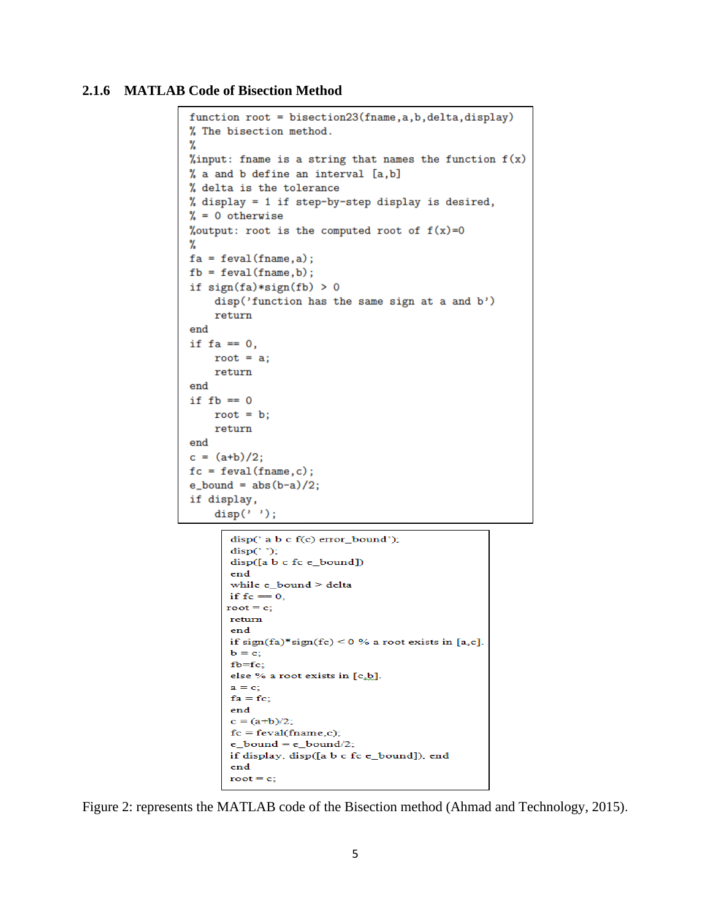## **2.1.6 MATLAB Code of Bisection Method**

```
function root = bisection23(fname, a, b, delta, display)
% The bisection method.
℀
%input: fname is a string that names the function f(x)% a and b define an interval [a, b]
% delta is the tolerance
% display = 1 if step-by-step display is desired,
\% = 0 otherwise
%output: root is the computed root of f(x)=0℀
fa = feval(fname, a);fb = \text{feval}(\text{frame}, b);
if sign(fa)*sign(fb) > 0disp('function has the same sign at a and b')
    return
end
if fa == 0,
    root = a;
    return
end
if fb == 0root = b;return
end
c = (a+b)/2;fc = feval(fname, c);e_{bolnd} = abs(b-a)/2;if display,
    disp('');
       disp(' a b c f(c) error_bound');
       disp("disp([a b c fc e_bound])
       end
       while e_bound > delta
       if fc = 0,
      root = c;
       return
       end
       if sign(fa)*sign(fc) < 0% a root exists in [a,c].
       \mathbf{b} = \mathbf{c};
```

```
fb = fc;else % a root exists in [c.b].
a = c;
fa = fc;end
c = (a+b)/2;fc = \text{feval}(\text{frame}, c);
e_{bound} = e_{bound}/2;
if display, disp([a b c fc e_bound]), end
end
root = c;
```
Figure 2: represents the MATLAB code of the Bisection method (Ahmad and Technology, 2015).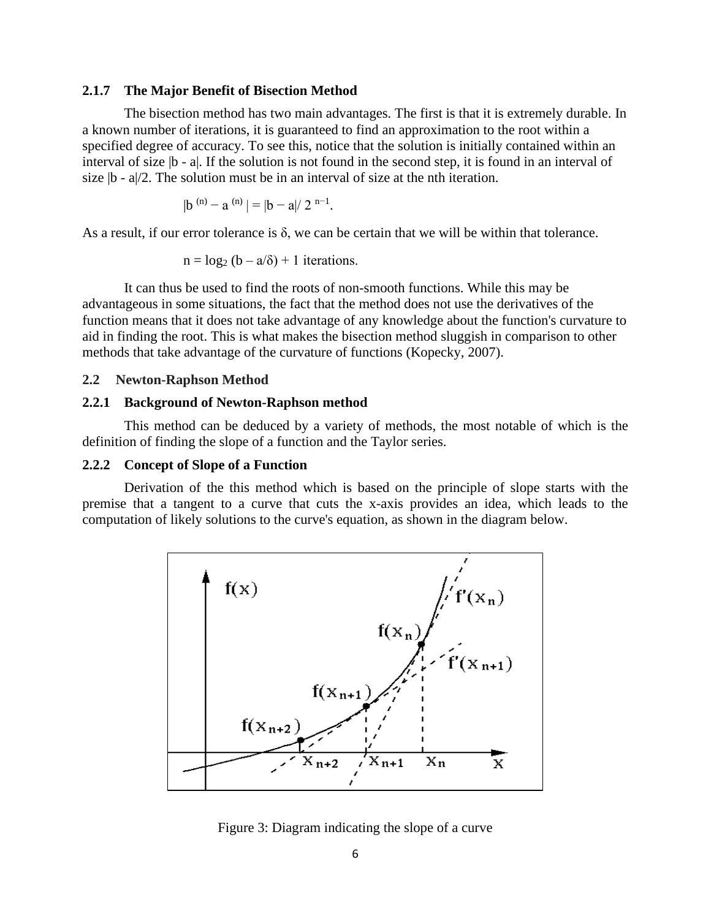#### **2.1.7 The Major Benefit of Bisection Method**

The bisection method has two main advantages. The first is that it is extremely durable. In a known number of iterations, it is guaranteed to find an approximation to the root within a specified degree of accuracy. To see this, notice that the solution is initially contained within an interval of size  $|b - a|$ . If the solution is not found in the second step, it is found in an interval of size  $|b - a|/2$ . The solution must be in an interval of size at the nth iteration.

$$
|b^{(n)} - a^{(n)}| = |b - a|/2^{n-1}
$$

As a result, if our error tolerance is  $\delta$ , we can be certain that we will be within that tolerance.

.

$$
n = log_2 (b - a/\delta) + 1
$$
 iterations.

It can thus be used to find the roots of non-smooth functions. While this may be advantageous in some situations, the fact that the method does not use the derivatives of the function means that it does not take advantage of any knowledge about the function's curvature to aid in finding the root. This is what makes the bisection method sluggish in comparison to other methods that take advantage of the curvature of functions (Kopecky, 2007).

### **2.2 Newton-Raphson Method**

## **2.2.1 Background of Newton-Raphson method**

This method can be deduced by a variety of methods, the most notable of which is the definition of finding the slope of a function and the Taylor series.

## **2.2.2 Concept of Slope of a Function**

Derivation of the this method which is based on the principle of slope starts with the premise that a tangent to a curve that cuts the x-axis provides an idea, which leads to the computation of likely solutions to the curve's equation, as shown in the diagram below.



Figure 3: Diagram indicating the slope of a curve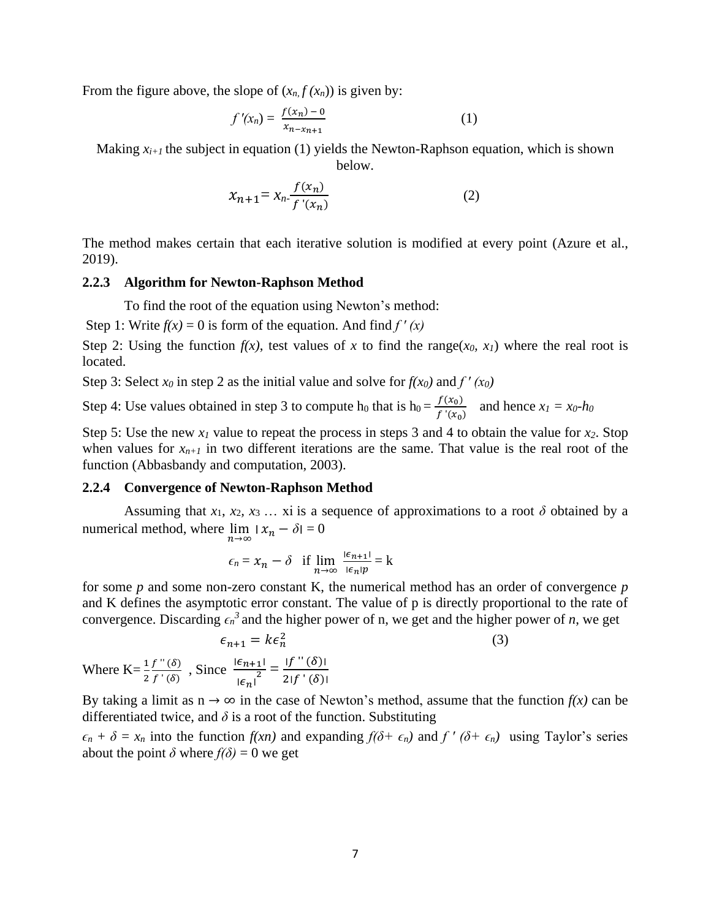From the figure above, the slope of  $(x_n, f(x_n))$  is given by:

$$
f'(x_n) = \frac{f(x_n) - 0}{x_{n-x_{n+1}}} \tag{1}
$$

Making  $x_{i+1}$  the subject in equation (1) yields the Newton-Raphson equation, which is shown below.

$$
x_{n+1} = x_n \frac{f(x_n)}{f'(x_n)}
$$
 (2)

The method makes certain that each iterative solution is modified at every point (Azure et al., 2019).

#### **2.2.3 Algorithm for Newton-Raphson Method**

To find the root of the equation using Newton's method:

Step 1: Write  $f(x) = 0$  is form of the equation. And find  $f'(x)$ 

Step 2: Using the function  $f(x)$ , test values of x to find the range( $x_0$ ,  $x_1$ ) where the real root is located.

Step 3: Select  $x_0$  in step 2 as the initial value and solve for  $f(x_0)$  and  $f'(x_0)$ 

Step 4: Use values obtained in step 3 to compute h<sub>0</sub> that is h<sub>0</sub> =  $\frac{f(x_0)}{f(x_0)}$  $\int \frac{f(x_0)}{f'(x_0)}$  and hence  $x_1 = x_0-h_0$ 

Step 5: Use the new *x<sup>1</sup>* value to repeat the process in steps 3 and 4 to obtain the value for *x2*. Stop when values for  $x_{n+1}$  in two different iterations are the same. That value is the real root of the function (Abbasbandy and computation, 2003).

#### **2.2.4 Convergence of Newton-Raphson Method**

Assuming that  $x_1, x_2, x_3, \ldots$  xi is a sequence of approximations to a root  $\delta$  obtained by a numerical method, where  $\lim_{n\to\infty} |x_n - \delta| = 0$ 

$$
\epsilon_n = x_n - \delta
$$
 if  $\lim_{n \to \infty} \frac{|\epsilon_{n+1}|}{|\epsilon_n| p} = k$ 

for some *p* and some non-zero constant K, the numerical method has an order of convergence *p* and K defines the asymptotic error constant. The value of p is directly proportional to the rate of convergence. Discarding  $\epsilon_n^3$  and the higher power of n, we get and the higher power of *n*, we get

$$
\epsilon_{n+1} = k\epsilon_n^2
$$
\n
$$
\epsilon_{n+1} = k\epsilon_{n+1}^2 - \frac{|f''(\delta)|}{|\delta|}
$$
\n(3)

Where  $K = \frac{1}{2}$ 2  $f$  "  $(\delta)$  $\frac{f''(\delta)}{f'(\delta)}$ , Since  $\frac{|\epsilon_{n+1}|^2}{|\epsilon_n|^2}$  $|\epsilon_n|$  $\frac{1}{2} = \frac{|f''(\delta)|}{2(f'(\delta))}$  $2|f'(\delta)|$ 

By taking a limit as  $n \to \infty$  in the case of Newton's method, assume that the function  $f(x)$  can be differentiated twice, and  $\delta$  is a root of the function. Substituting

 $\epsilon_n + \delta = x_n$  into the function  $f(x_n)$  and expanding  $f(\delta + \epsilon_n)$  and  $f'(\delta + \epsilon_n)$  using Taylor's series about the point  $\delta$  where  $f(\delta) = 0$  we get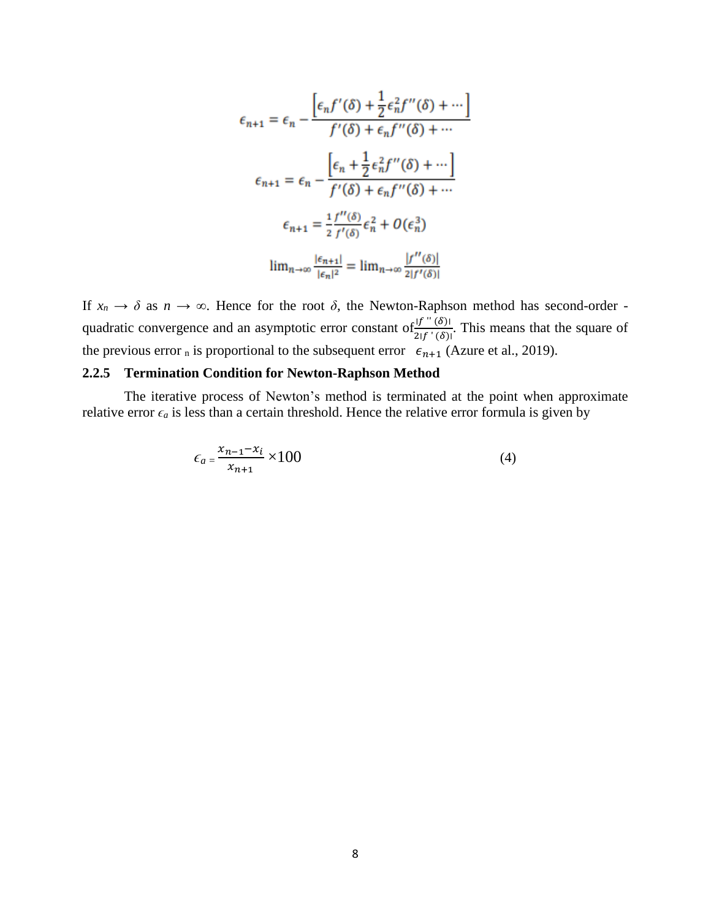$$
\epsilon_{n+1} = \epsilon_n - \frac{\left[\epsilon_n f'(\delta) + \frac{1}{2}\epsilon_n^2 f''(\delta) + \cdots\right]}{f'(\delta) + \epsilon_n f''(\delta) + \cdots}
$$

$$
\epsilon_{n+1} = \epsilon_n - \frac{\left[\epsilon_n + \frac{1}{2}\epsilon_n^2 f''(\delta) + \cdots\right]}{f'(\delta) + \epsilon_n f''(\delta) + \cdots}
$$

$$
\epsilon_{n+1} = \frac{1}{2} \frac{f''(\delta)}{f'(\delta)} \epsilon_n^2 + O(\epsilon_n^3)
$$

$$
\lim_{n \to \infty} \frac{|\epsilon_{n+1}|}{|\epsilon_n|^2} = \lim_{n \to \infty} \frac{|f''(\delta)|}{2|f'(\delta)|}
$$

If  $x_n \to \delta$  as  $n \to \infty$ . Hence for the root  $\delta$ , the Newton-Raphson method has second-order quadratic convergence and an asymptotic error constant of  $\frac{f^{(f^{(n)}(\delta))}}{2!f^{(n)}(\delta)}$ . This means that the square of the previous error  $_n$  is proportional to the subsequent error  $\epsilon_{n+1}$  (Azure et al., 2019).

## **2.2.5 Termination Condition for Newton-Raphson Method**

The iterative process of Newton's method is terminated at the point when approximate relative error  $\epsilon_a$  is less than a certain threshold. Hence the relative error formula is given by

$$
\epsilon_a = \frac{x_{n-1} - x_i}{x_{n+1}} \times 100\tag{4}
$$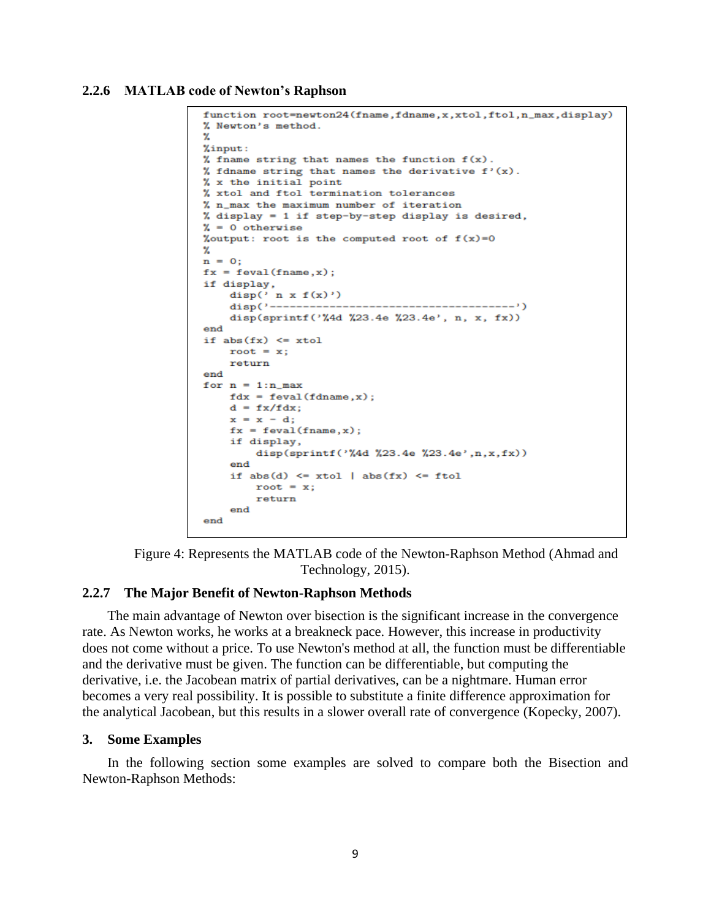#### **2.2.6 MATLAB code of Newton's Raphson**

```
function root=newton24(fname,fdname,x,xtol,ftol,n_max,display)
% Newton's method.
2.
%input:
% fname string that names the function f(x).
% fdname string that names the derivative f'(x).
% x the initial point
% xtol and ftol termination tolerances
% n_max the maximum number of iteration
% display = 1 if step-by-step display is desired,
\% = 0 otherwise
%output: root is the computed root of f(x)=024
n = 0:
fx = \text{feval}(\text{frame}, x);if display,
   disp(' n x f(x)')disp(sprintf('%4d %23.4e %23.4e', n, x, fx))
end
if abs(fx) \le xtolroot = x;
   return
end
for n = 1:n_maxfdx = feval(fdname, x);d = fx/fdx;x = x - d;fx = \text{feval}(\text{frame}, x);if display,
       disp(sprintf('%4d %23.4e %23.4e',n,x,fx))
    end
    if abs(d) \le xtol | abs(fx) \le ftolroot = x;return
    end
end
```


#### **2.2.7 The Major Benefit of Newton-Raphson Methods**

The main advantage of Newton over bisection is the significant increase in the convergence rate. As Newton works, he works at a breakneck pace. However, this increase in productivity does not come without a price. To use Newton's method at all, the function must be differentiable and the derivative must be given. The function can be differentiable, but computing the derivative, i.e. the Jacobean matrix of partial derivatives, can be a nightmare. Human error becomes a very real possibility. It is possible to substitute a finite difference approximation for the analytical Jacobean, but this results in a slower overall rate of convergence (Kopecky, 2007).

### **3. Some Examples**

In the following section some examples are solved to compare both the Bisection and Newton-Raphson Methods: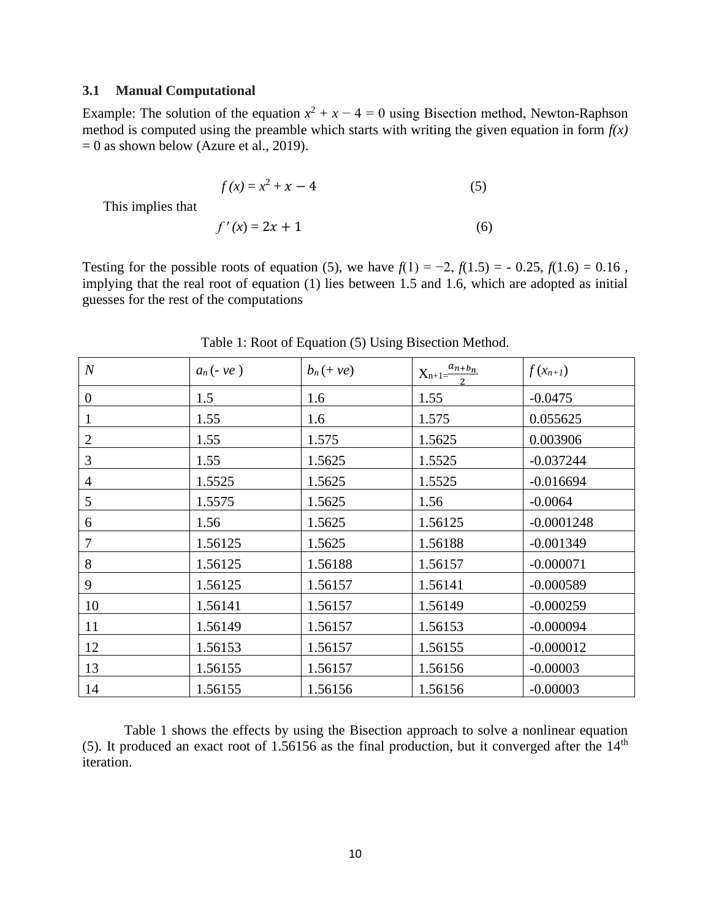## **3.1 Manual Computational**

Example: The solution of the equation  $x^2 + x - 4 = 0$  using Bisection method, Newton-Raphson method is computed using the preamble which starts with writing the given equation in form  $f(x)$  $= 0$  as shown below (Azure et al., 2019).

$$
f(x) = x^2 + x - 4
$$
 (5)

This implies that

$$
f'(x) = 2x + 1\tag{6}
$$

Testing for the possible roots of equation (5), we have  $f(1) = -2$ ,  $f(1.5) = -0.25$ ,  $f(1.6) = 0.16$ , implying that the real root of equation (1) lies between 1.5 and 1.6, which are adopted as initial guesses for the rest of the computations

| $\boldsymbol{N}$ | $a_n(-ve)$ | $b_n(+ve)$ | $X_{n+1} = \frac{a_{n+b_n}}{a_n}$ | $f(x_{n+1})$ |
|------------------|------------|------------|-----------------------------------|--------------|
| $\boldsymbol{0}$ | 1.5        | 1.6        | 1.55                              | $-0.0475$    |
| 1                | 1.55       | 1.6        | 1.575                             | 0.055625     |
| 2                | 1.55       | 1.575      | 1.5625                            | 0.003906     |
| 3                | 1.55       | 1.5625     | 1.5525                            | $-0.037244$  |
| 4                | 1.5525     | 1.5625     | 1.5525                            | $-0.016694$  |
| 5                | 1.5575     | 1.5625     | 1.56                              | $-0.0064$    |
| 6                | 1.56       | 1.5625     | 1.56125                           | $-0.0001248$ |
| 7                | 1.56125    | 1.5625     | 1.56188                           | $-0.001349$  |
| 8                | 1.56125    | 1.56188    | 1.56157                           | $-0.000071$  |
| 9                | 1.56125    | 1.56157    | 1.56141                           | $-0.000589$  |
| 10               | 1.56141    | 1.56157    | 1.56149                           | $-0.000259$  |
| 11               | 1.56149    | 1.56157    | 1.56153                           | $-0.000094$  |
| 12               | 1.56153    | 1.56157    | 1.56155                           | $-0.000012$  |
| 13               | 1.56155    | 1.56157    | 1.56156                           | $-0.00003$   |
| 14               | 1.56155    | 1.56156    | 1.56156                           | $-0.00003$   |

Table 1: Root of Equation (5) Using Bisection Method.

Table 1 shows the effects by using the Bisection approach to solve a nonlinear equation (5). It produced an exact root of 1.56156 as the final production, but it converged after the  $14<sup>th</sup>$ iteration.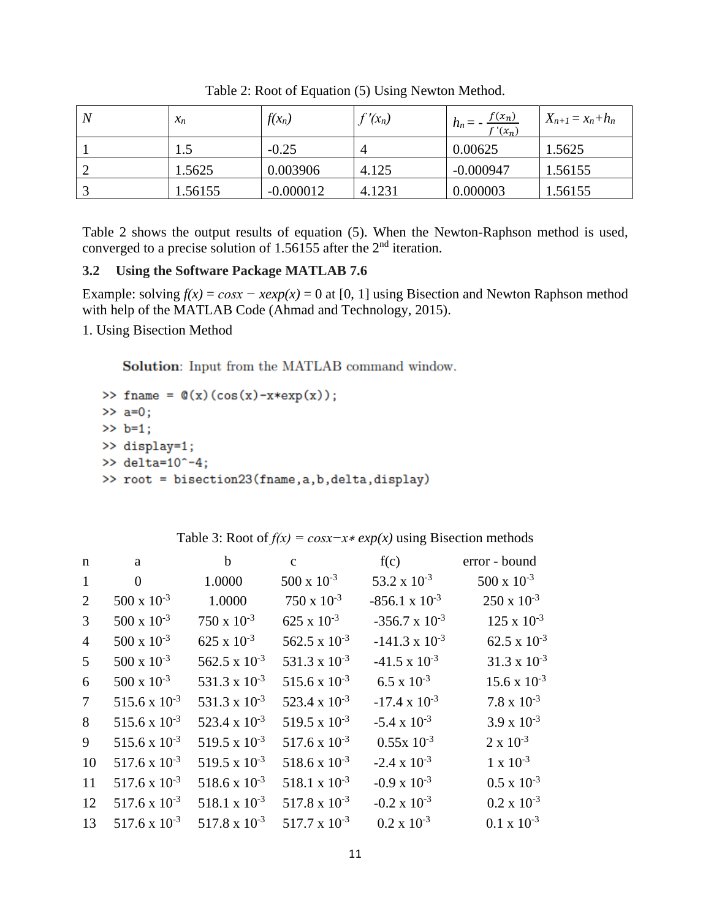| N | $x_n$   | $f(x_n)$    | $\int (x_n)$ | $h_n = -\frac{f(x_n)}{f'(x_n)}$ | $X_{n+1} = x_n + h_n$ |
|---|---------|-------------|--------------|---------------------------------|-----------------------|
|   | 1.5     | $-0.25$     | 4            | 0.00625                         | 1.5625                |
|   | 1.5625  | 0.003906    | 4.125        | $-0.000947$                     | 1.56155               |
|   | 1.56155 | $-0.000012$ | 4.1231       | 0.000003                        | 1.56155               |

Table 2: Root of Equation (5) Using Newton Method.

Table 2 shows the output results of equation (5). When the Newton-Raphson method is used, converged to a precise solution of 1.56155 after the  $2<sup>nd</sup>$  iteration.

# **3.2 Using the Software Package MATLAB 7.6**

Example: solving  $f(x) = cosx - xexp(x) = 0$  at [0, 1] using Bisection and Newton Raphson method with help of the MATLAB Code (Ahmad and Technology, 2015).

1. Using Bisection Method

Solution: Input from the MATLAB command window.

```
>> fname = @(x)(cos(x)-x*exp(x));>> a=0;>> b=1;>> display=1;
>> delta=10^{\circ} - 4;
>> root = bisection23(fname, a, b, delta, display)
```

| $\mathbf n$    | a                      | $\mathbf b$            | $\mathbf{c}$           | f(c)                    | error - bound         |
|----------------|------------------------|------------------------|------------------------|-------------------------|-----------------------|
| 1              | $\Omega$               | 1.0000                 | $500 \times 10^{-3}$   | 53.2 x $10^{-3}$        | $500 \times 10^{-3}$  |
| 2              | $500 \times 10^{-3}$   | 1.0000                 | $750 \times 10^{-3}$   | $-856.1 \times 10^{-3}$ | $250 \times 10^{-3}$  |
| 3              | $500 \times 10^{-3}$   | $750 \times 10^{-3}$   | $625 \times 10^{-3}$   | $-356.7 \times 10^{-3}$ | $125 \times 10^{-3}$  |
| $\overline{4}$ | $500 \times 10^{-3}$   | $625 \times 10^{-3}$   | 562.5 x $10^{-3}$      | $-141.3 \times 10^{-3}$ | 62.5 x $10^{-3}$      |
| 5              | $500 \times 10^{-3}$   | 562.5 x $10^{-3}$      | 531.3 x $10^{-3}$      | $-41.5 \times 10^{-3}$  | $31.3 \times 10^{-3}$ |
| 6              | $500 \times 10^{-3}$   | 531.3 x $10^{-3}$      | 515.6 x $10^{-3}$      | $6.5 \times 10^{-3}$    | $15.6 \times 10^{-3}$ |
| $\tau$         | 515.6 x $10^{-3}$      | 531.3 x $10^{-3}$      | 523.4 x $10^{-3}$      | $-17.4 \times 10^{-3}$  | $7.8 \times 10^{-3}$  |
| 8              | $515.6 \times 10^{-3}$ | 523.4 x $10^{-3}$      | $519.5 \times 10^{-3}$ | $-5.4 \times 10^{-3}$   | $3.9 \times 10^{-3}$  |
| 9              | 515.6 x $10^{-3}$      | 519.5 x $10^{-3}$      | $517.6 \times 10^{-3}$ | $0.55x 10^{-3}$         | $2 \times 10^{-3}$    |
| 10             | $517.6 \times 10^{-3}$ | $519.5 \times 10^{-3}$ | 518.6 x $10^{-3}$      | $-2.4 \times 10^{-3}$   | $1 \times 10^{-3}$    |
| 11             | $517.6 \times 10^{-3}$ | $518.6 \times 10^{-3}$ | 518.1 x $10^{-3}$      | $-0.9 \times 10^{-3}$   | $0.5 \times 10^{-3}$  |
| 12             | $517.6 \times 10^{-3}$ | $518.1 \times 10^{-3}$ | $517.8 \times 10^{-3}$ | $-0.2 \times 10^{-3}$   | $0.2 \times 10^{-3}$  |
| 13             | $517.6 \times 10^{-3}$ | $517.8 \times 10^{-3}$ | $517.7 \times 10^{-3}$ | $0.2 \times 10^{-3}$    | $0.1 \times 10^{-3}$  |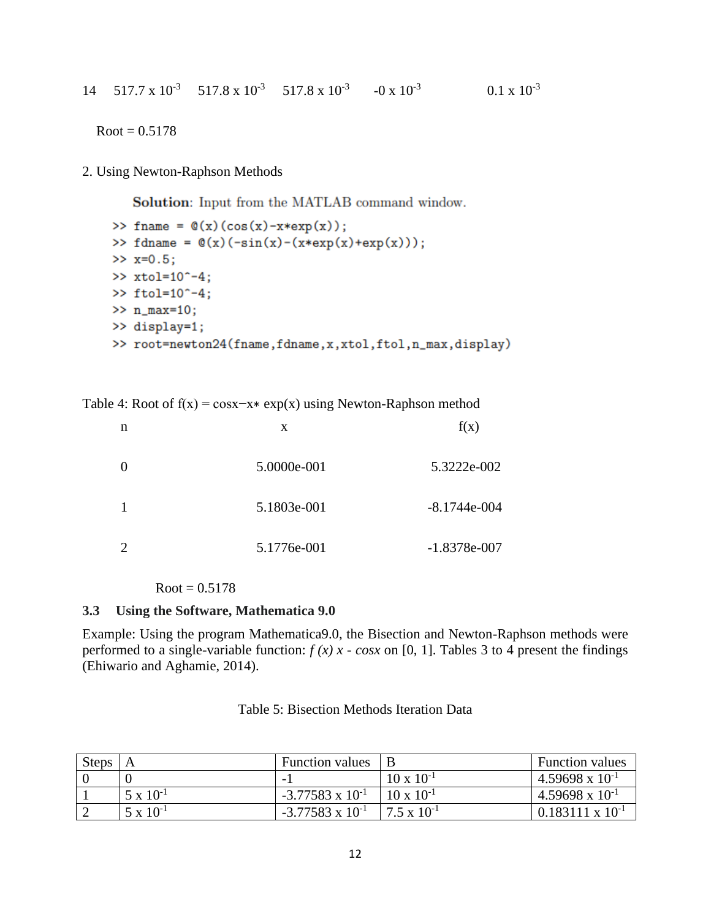$Root = 0.5178$ 

2. Using Newton-Raphson Methods

**Solution:** Input from the MATLAB command window.

```
>> fname = \mathbb{Q}(x) (cos(x)-x*exp(x));
>> fdname = @(x)(-sin(x)-(x*exp(x)+exp(x)));
>> x=0.5;>> xtol=10^{\circ}-4;\gg ftol=10^-4;
>> n_max=10;>> display=1;
>> root=newton24(fname,fdname,x,xtol,ftol,n_max,display)
```
Table 4: Root of  $f(x) = \cos x - x \cdot \exp(x)$  using Newton-Raphson method

| n                           | X           | f(x)           |
|-----------------------------|-------------|----------------|
| 0                           | 5.0000e-001 | 5.3222e-002    |
| 1                           | 5.1803e-001 | $-8.1744e-004$ |
| $\mathcal{D}_{\mathcal{A}}$ | 5.1776e-001 | $-1.8378e-007$ |

 $Root = 0.5178$ 

## **3.3 Using the Software, Mathematica 9.0**

Example: Using the program Mathematica9.0, the Bisection and Newton-Raphson methods were performed to a single-variable function:  $f(x)$  x -  $\cos x$  on [0, 1]. Tables 3 to 4 present the findings (Ehiwario and Aghamie, 2014).

| <b>Steps</b> |                    | <b>Function values</b>    |                      | <b>Function values</b>    |
|--------------|--------------------|---------------------------|----------------------|---------------------------|
|              |                    |                           | $10 \times 10^{-1}$  | $4.59698 \times 10^{-1}$  |
|              | $5 \times 10^{-1}$ | $-3.77583 \times 10^{-1}$ | $10 \times 10^{-1}$  | $4.59698 \times 10^{-1}$  |
|              | $5 \times 10^{-1}$ | $-3.77583 \times 10^{-1}$ | $7.5 \times 10^{-1}$ | $0.183111 \times 10^{-1}$ |

Table 5: Bisection Methods Iteration Data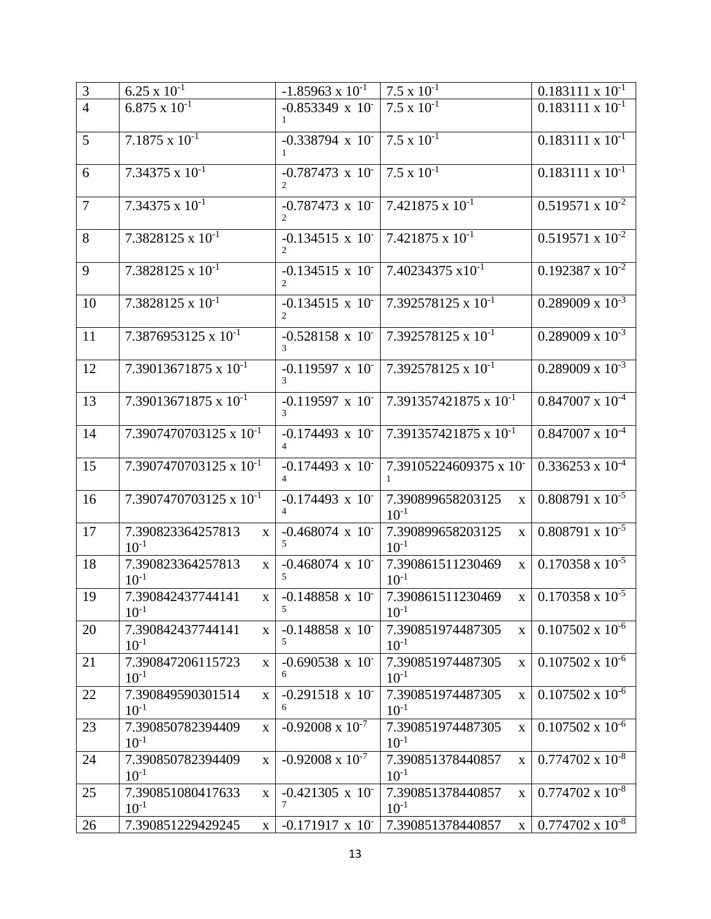| $\mathfrak{Z}$ | $6.25 \times 10^{-1}$                          | $-1.85963 \times 10^{-1}$                    | $7.5 \times 10^{-1}$                           | $0.183111 \times 10^{-1}$                  |
|----------------|------------------------------------------------|----------------------------------------------|------------------------------------------------|--------------------------------------------|
| $\overline{4}$ | $6.875 \times 10^{-1}$                         | $-0.853349 \times 10^{-7}$                   | $7.5 \times 10^{-1}$                           | $0.183111 \times 10^{-1}$                  |
| 5              | $7.1875 \times 10^{-1}$                        | $-0.338794 \times 10^{-7}$<br>$\mathbf{1}$   | $7.5 \times 10^{-1}$                           | $0.183111 \times 10^{-1}$                  |
| 6              | 7.34375 $\overline{x}$ 10 <sup>-1</sup>        | $-0.787473 \times 10^{-7}$                   | $7.5 \times 10^{-1}$                           | $0.183111 \times 10^{-1}$                  |
| $\overline{7}$ | 7.34375 x $10^{-1}$                            | $-0.787473 \times 10^{-7}$                   | $7.421875 \times 10^{-1}$                      | $0.519571 \times 10^{-2}$                  |
| 8              | $7.3828125 \times 10^{-1}$                     | $-0.134515 \times 10^{-7}$<br>$\overline{2}$ | $7.421875 \times 10^{-1}$                      | $0.519571 \times 10^{-2}$                  |
| 9              | $7.3828125 \times 10^{-1}$                     | $-0.134515 \times 10^{-7}$                   | $7.40234375 \times 10^{-1}$                    | $0.192387 \times 10^{-2}$                  |
| 10             | $7.3828125 \times 10^{-1}$                     | $-0.134515 \times 10^{-7}$                   | 7.392578125 x 10 <sup>-1</sup>                 | $0.289009 \times 10^{-3}$                  |
| 11             | $7.3876953125 \times 10^{-1}$                  | $-0.528158 \times 10^{-7}$<br>$\mathcal{F}$  | $7.392578125 \times 10^{-1}$                   | $0.289009 \times 10^{-3}$                  |
| 12             | 7.39013671875 x $10^{-1}$                      | $-0.119597 \times 10^{-7}$                   | $7.392578125 \times 10^{-1}$                   | $0.289009 \times 10^{-3}$                  |
| 13             | $7.39013671875 \times 10^{-1}$                 | $-0.119597 \times 10^{-7}$<br>3              | $7.391357421875 \times 10^{-1}$                | $0.847007 \times 10^{-4}$                  |
| 14             | 7.3907470703125 x 10 <sup>-1</sup>             | $-0.174493 \times 10^{-7}$<br>$\overline{4}$ | $7.391357421875 \times 10^{-1}$                | $0.847007 \times 10^{-4}$                  |
| 15             | 7.3907470703125 x $10^{-1}$                    | $-0.174493 \times 10^{-7}$                   | 7.39105224609375 x 10                          | $0.336253 \times 10^{-4}$                  |
| 16             | $7.3907470703125 \times 10^{-1}$               | $-0.174493 \times 10^{-7}$                   | 7.390899658203125<br>$\mathbf X$<br>$10^{-1}$  | $0.808791 \times 10^{-5}$                  |
| 17             | 7.390823364257813<br>$\mathbf X$<br>$10^{-1}$  | $-0.468074$ x 10<br>$\sim$                   | 7.390899658203125<br>$\mathbf{X}$<br>$10^{-1}$ | $0.808791 \times 10^{-5}$                  |
| 18             | 7.390823364257813<br>$\mathbf X$<br>$10^{-1}$  | $-0.468074$ x 10<br>5.                       | 7.390861511230469<br>$\mathbf{X}$<br>$10^{-1}$ | $0.170358 \times 10^{-5}$                  |
| 19             | 7.390842437744141<br>$\mathbf X$<br>$10^{-1}$  | $-0.148858 \times 10^{-7}$<br>5              | 7.390861511230469<br>$10^{-1}$                 | $\mathbf{x}$   0.170358 x 10 <sup>-5</sup> |
| 20             | 7.390842437744141<br>$\mathbf{X}$<br>$10^{-1}$ | $-0.148858$ x 10<br>5                        | 7.390851974487305<br>$\mathbf{X}$<br>$10^{-1}$ | $0.107502 \times 10^{-6}$                  |
| 21             | 7.390847206115723<br>$\mathbf{X}$<br>$10^{-1}$ | $-0.690538 \times 10^{-7}$<br>6              | 7.390851974487305<br>$\mathbf{X}$<br>$10^{-1}$ | $0.107502 \times 10^{-6}$                  |
| 22             | 7.390849590301514<br>$\mathbf{X}$<br>$10^{-1}$ | $-0.291518 \times 10^{-7}$<br>6              | 7.390851974487305<br>$\mathbf{X}$<br>$10^{-1}$ | $0.107502 \times 10^{-6}$                  |
| 23             | 7.390850782394409<br>$\mathbf X$<br>$10^{-1}$  | $-0.92008 \times 10^{-7}$                    | 7.390851974487305<br>$\mathbf X$<br>$10^{-1}$  | $0.107502 \times 10^{-6}$                  |
| 24             | 7.390850782394409<br>$\mathbf X$<br>$10^{-1}$  | $-0.92008 \times 10^{-7}$                    | 7.390851378440857<br>$\mathbf{X}$<br>$10^{-1}$ | $0.774702 \times 10^{-8}$                  |
| 25             | 7.390851080417633<br>$\mathbf{X}$<br>$10^{-1}$ | $-0.421305 \times 10^{-7}$<br>7              | 7.390851378440857<br>$\mathbf{X}$<br>$10^{-1}$ | $0.774702 \times 10^{-8}$                  |
| 26             | 7.390851229429245<br>$\mathbf{X}$              | $-0.171917 \times 10^{-7}$                   | 7.390851378440857<br>$\mathbf{X}$              | $0.774702 \times 10^{-8}$                  |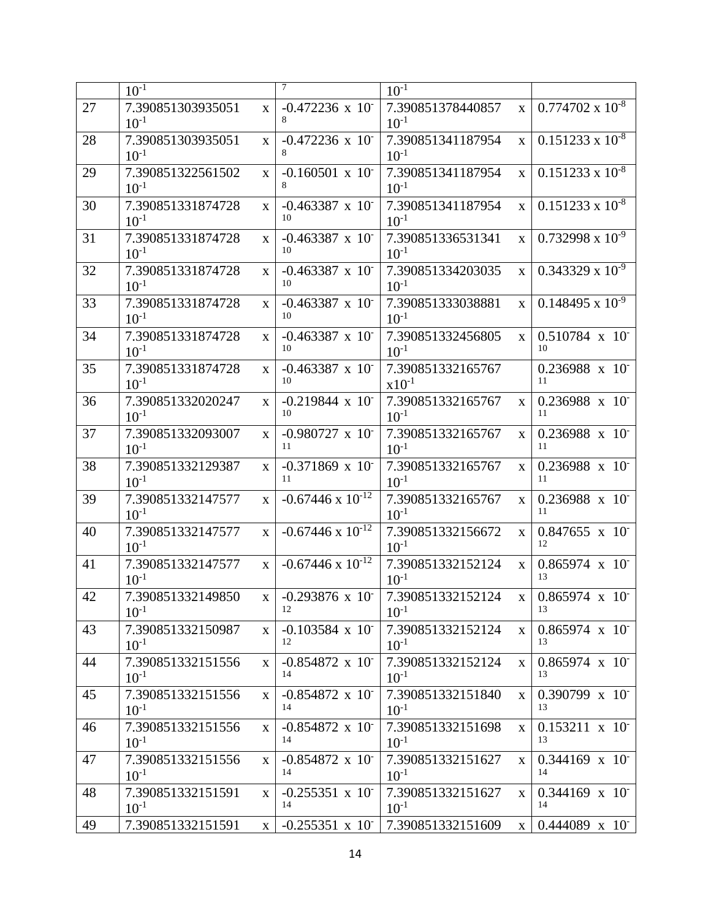|    | $10^{-1}$                      |              | 7                                | $10^{-1}$                       |              |                                 |
|----|--------------------------------|--------------|----------------------------------|---------------------------------|--------------|---------------------------------|
| 27 | 7.390851303935051<br>$10^{-1}$ | $\mathbf{X}$ | $-0.472236 \times 10^{-7}$<br>8  | 7.390851378440857<br>$10^{-1}$  | $\mathbf{X}$ | $0.774702 \times 10^{-8}$       |
| 28 | 7.390851303935051<br>$10^{-1}$ | $\mathbf{X}$ | $-0.472236 \times 10^{-7}$<br>8  | 7.390851341187954<br>$10^{-1}$  | $\mathbf{X}$ | $0.151233 \times 10^{-8}$       |
| 29 | 7.390851322561502<br>$10^{-1}$ | $\mathbf{X}$ | $-0.160501 \times 10^{-7}$<br>8  | 7.390851341187954<br>$10^{-1}$  | $\bf{X}$     | $0.151233 \times 10^{-8}$       |
| 30 | 7.390851331874728<br>$10^{-1}$ | $\mathbf X$  | $-0.463387$ x 10<br>10           | 7.390851341187954<br>$10^{-1}$  | $\mathbf{X}$ | $0.151233 \times 10^{-8}$       |
| 31 | 7.390851331874728<br>$10^{-1}$ | $\mathbf{X}$ | $-0.463387 \times 10^{-7}$<br>10 | 7.390851336531341<br>$10^{-1}$  | $\mathbf{X}$ | $0.732998 \times 10^{-9}$       |
| 32 | 7.390851331874728<br>$10^{-1}$ | $\mathbf{X}$ | $-0.463387$ x 10<br>10           | 7.390851334203035<br>$10^{-1}$  | $\mathbf{x}$ | $0.343329 \times 10^{-9}$       |
| 33 | 7.390851331874728<br>$10^{-1}$ | $\mathbf{x}$ | $-0.463387$ x 10<br>10           | 7.390851333038881<br>$10^{-1}$  | $\mathbf{x}$ | $0.148495 \times 10^{-9}$       |
| 34 | 7.390851331874728<br>$10^{-1}$ | $\mathbf{X}$ | $-0.463387$ x 10<br>10           | 7.390851332456805<br>$10^{-1}$  | $\mathbf{X}$ | $0.510784 \times 10^{-7}$<br>10 |
| 35 | 7.390851331874728<br>$10^{-1}$ | $\mathbf X$  | $-0.463387$ x 10<br>10           | 7.390851332165767<br>$x10^{-1}$ |              | $0.236988 \times 10^{-7}$<br>11 |
| 36 | 7.390851332020247<br>$10^{-1}$ | $\mathbf{x}$ | $-0.219844 \times 10^{-7}$<br>10 | 7.390851332165767<br>$10^{-1}$  | $\mathbf{x}$ | $0.236988 \times 10^{-7}$<br>11 |
| 37 | 7.390851332093007<br>$10^{-1}$ | $\mathbf{x}$ | $-0.980727 \times 10^{-7}$<br>11 | 7.390851332165767<br>$10^{-1}$  | $\mathbf{X}$ | $0.236988 \times 10^{-7}$<br>11 |
| 38 | 7.390851332129387<br>$10^{-1}$ | $\mathbf X$  | $-0.371869$ x 10<br>11           | 7.390851332165767<br>$10^{-1}$  | $\mathbf{X}$ | 0.236988 x 10<br>11             |
| 39 | 7.390851332147577<br>$10^{-1}$ | $\mathbf{x}$ | $-0.67446 \times 10^{-12}$       | 7.390851332165767<br>$10^{-1}$  | $\mathbf{x}$ | $0.236988 \times 10^{-7}$<br>11 |
| 40 | 7.390851332147577<br>$10^{-1}$ | $\mathbf{x}$ | $-0.67446 \times 10^{-12}$       | 7.390851332156672<br>$10^{-1}$  | $\mathbf{X}$ | $0.847655 \times 10^{-7}$<br>12 |
| 41 | 7.390851332147577<br>$10^{-1}$ | $\mathbf{x}$ | $-0.67446 \times 10^{-12}$       | 7.390851332152124<br>$10^{-1}$  | $\mathbf{x}$ | $0.865974 \times 10^{-7}$<br>13 |
| 42 | 7.390851332149850<br>$10^{-1}$ | $\mathbf X$  | $-0.293876 \times 10^{-7}$<br>12 | 7.390851332152124<br>$10^{-1}$  | $\mathbf{X}$ | $0.865974 \times 10^{-7}$<br>13 |
| 43 | 7.390851332150987<br>$10^{-1}$ | $\mathbf{X}$ | $-0.103584 \times 10^{-7}$<br>12 | 7.390851332152124<br>$10^{-1}$  | $\mathbf{X}$ | $0.865974 \times 10^{-7}$<br>13 |
| 44 | 7.390851332151556<br>$10^{-1}$ | $\mathbf{x}$ | $-0.854872 \times 10^{-7}$<br>14 | 7.390851332152124<br>$10^{-1}$  | $\mathbf{X}$ | $0.865974 \times 10^{-7}$<br>13 |
| 45 | 7.390851332151556<br>$10^{-1}$ | X            | $-0.854872 \times 10^{-7}$<br>14 | 7.390851332151840<br>$10^{-1}$  | $\mathbf{X}$ | $0.390799 \times 10^{-7}$<br>13 |
| 46 | 7.390851332151556<br>$10^{-1}$ | X            | $-0.854872 \times 10^{-7}$<br>14 | 7.390851332151698<br>$10^{-1}$  | $\mathbf{X}$ | $0.153211 \times 10^{-7}$<br>13 |
| 47 | 7.390851332151556<br>$10^{-1}$ | $\mathbf{X}$ | $-0.854872 \times 10^{-7}$<br>14 | 7.390851332151627<br>$10^{-1}$  | $\mathbf{X}$ | $0.344169 \times 10^{-7}$<br>14 |
| 48 | 7.390851332151591<br>$10^{-1}$ | $\mathbf{X}$ | $-0.255351 \times 10^{-7}$<br>14 | 7.390851332151627<br>$10^{-1}$  | $\mathbf{X}$ | $0.344169 \times 10^{-7}$<br>14 |
| 49 | 7.390851332151591              | $\mathbf{X}$ | $-0.255351 \times 10^{-7}$       | 7.390851332151609               | $\mathbf{X}$ | $0.444089 \times 10^{-7}$       |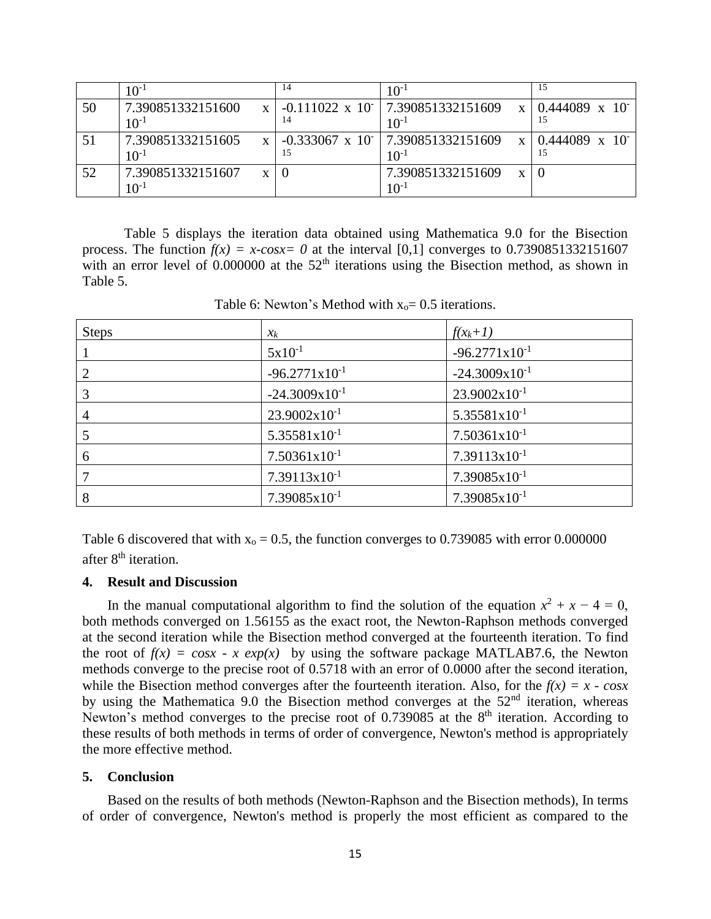|    | $0^{-1}$                                       | 14 | $10^{-1}$                                                                 | 15                              |
|----|------------------------------------------------|----|---------------------------------------------------------------------------|---------------------------------|
| 50 | 7.390851332151600<br>$10^{-1}$                 | 14 | $-0.111022 \times 10^{-1}$ 7.390851332151609<br>$\mathbf{x}$<br>$10^{-1}$ | $0.444089 \times 10^{-7}$<br>15 |
|    | 7.390851332151605<br>$\mathbf{x}$<br>$10^{-1}$ | 15 | $-0.333067 \times 10^{-1}$ 7.390851332151609<br>$\mathbf{x}$<br>$10^{-1}$ | $0.444089 \times 10^{-7}$       |
| 52 | 7.390851332151607<br>X<br>$10^{\hbox{-}1}$     |    | 7.390851332151609<br>$\mathbf{x}$<br>$10^{-1}$                            |                                 |

Table 5 displays the iteration data obtained using Mathematica 9.0 for the Bisection process. The function  $f(x) = x\text{-}cosx= 0$  at the interval [0,1] converges to 0.7390851332151607 with an error level of 0.000000 at the  $52<sup>th</sup>$  iterations using the Bisection method, as shown in Table 5.

| <b>Steps</b>   | $\chi_k$                  | $f(x_k+1)$                |
|----------------|---------------------------|---------------------------|
|                | $5x10^{-1}$               | $-96.2771 \times 10^{-1}$ |
| $\overline{2}$ | $-96.2771 \times 10^{-1}$ | $-24.3009x10^{-1}$        |
|                | $-24.3009x10^{-1}$        | $23.9002x10^{-1}$         |
|                | $23.9002 \times 10^{-1}$  | $5.35581x10^{-1}$         |
|                | $5.35581x10^{-1}$         | $7.50361x10^{-1}$         |
| 6              | $7.50361 \times 10^{-1}$  | $7.39113x10^{-1}$         |
|                | $7.39113x10^{-1}$         | $7.39085 \times 10^{-1}$  |
| 8              | $7.39085 \times 10^{-1}$  | $7.39085x10^{-1}$         |

Table 6: Newton's Method with  $x_0 = 0.5$  iterations.

Table 6 discovered that with  $x_0 = 0.5$ , the function converges to 0.739085 with error 0.000000 after 8<sup>th</sup> iteration.

## **4. Result and Discussion**

In the manual computational algorithm to find the solution of the equation  $x^2 + x - 4 = 0$ , both methods converged on 1.56155 as the exact root, the Newton-Raphson methods converged at the second iteration while the Bisection method converged at the fourteenth iteration. To find the root of  $f(x) = cosx - x exp(x)$  by using the software package MATLAB7.6, the Newton methods converge to the precise root of 0.5718 with an error of 0.0000 after the second iteration, while the Bisection method converges after the fourteenth iteration. Also, for the  $f(x) = x - \cos x$ by using the Mathematica 9.0 the Bisection method converges at the 52<sup>nd</sup> iteration, whereas Newton's method converges to the precise root of  $0.739085$  at the 8<sup>th</sup> iteration. According to these results of both methods in terms of order of convergence, Newton's method is appropriately the more effective method.

#### **5. Conclusion**

Based on the results of both methods (Newton-Raphson and the Bisection methods), In terms of order of convergence, Newton's method is properly the most efficient as compared to the